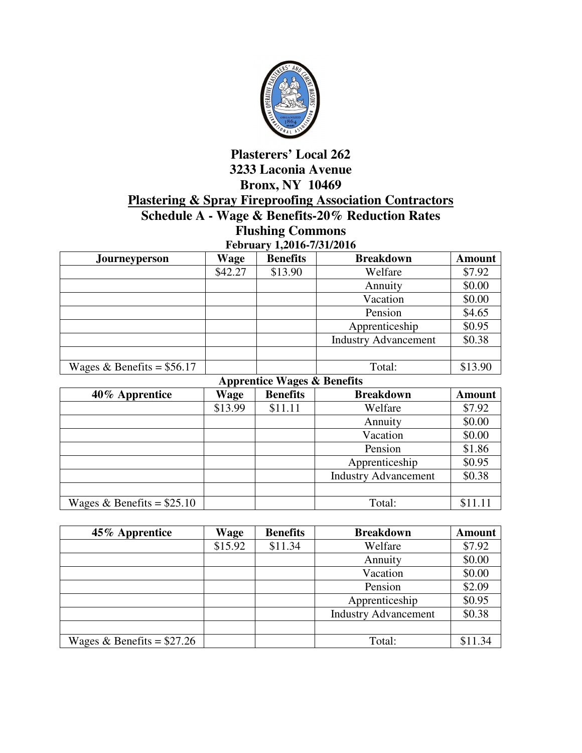

## **Plasterers' Local 262 3233 Laconia Avenue Bronx, NY 10469 Plastering & Spray Fireproofing Association Contractors Schedule A - Wage & Benefits-20% Reduction Rates**

**Flushing Commons** 

| February 1,2016-7/31/2016   |         |                 |                             |               |
|-----------------------------|---------|-----------------|-----------------------------|---------------|
| Journeyperson               | Wage    | <b>Benefits</b> | <b>Breakdown</b>            | <b>Amount</b> |
|                             | \$42.27 | \$13.90         | Welfare                     | \$7.92        |
|                             |         |                 | Annuity                     | \$0.00        |
|                             |         |                 | Vacation                    | \$0.00        |
|                             |         |                 | Pension                     | \$4.65        |
|                             |         |                 | Apprenticeship              | \$0.95        |
|                             |         |                 | <b>Industry Advancement</b> | \$0.38        |
|                             |         |                 |                             |               |
| Wages & Benefits = $$56.17$ |         |                 | Total:                      | \$13.90       |

| <b>Apprentice Wages &amp; Benefits</b> |             |                 |                             |               |
|----------------------------------------|-------------|-----------------|-----------------------------|---------------|
| 40% Apprentice                         | <b>Wage</b> | <b>Benefits</b> | <b>Breakdown</b>            | <b>Amount</b> |
|                                        | \$13.99     | \$11.11         | Welfare                     | \$7.92        |
|                                        |             |                 | Annuity                     | \$0.00        |
|                                        |             |                 | Vacation                    | \$0.00        |
|                                        |             |                 | Pension                     | \$1.86        |
|                                        |             |                 | Apprenticeship              | \$0.95        |
|                                        |             |                 | <b>Industry Advancement</b> | \$0.38        |
|                                        |             |                 |                             |               |
| Wages & Benefits = $$25.10$            |             |                 | Total:                      | \$11.11       |

| 45% Apprentice              | Wage    | <b>Benefits</b> | <b>Breakdown</b>            | <b>Amount</b> |
|-----------------------------|---------|-----------------|-----------------------------|---------------|
|                             | \$15.92 | \$11.34         | Welfare                     | \$7.92        |
|                             |         |                 | Annuity                     | \$0.00        |
|                             |         |                 | Vacation                    | \$0.00        |
|                             |         |                 | Pension                     | \$2.09        |
|                             |         |                 | Apprenticeship              | \$0.95        |
|                             |         |                 | <b>Industry Advancement</b> | \$0.38        |
|                             |         |                 |                             |               |
| Wages & Benefits = $$27.26$ |         |                 | Total:                      | \$11.34       |